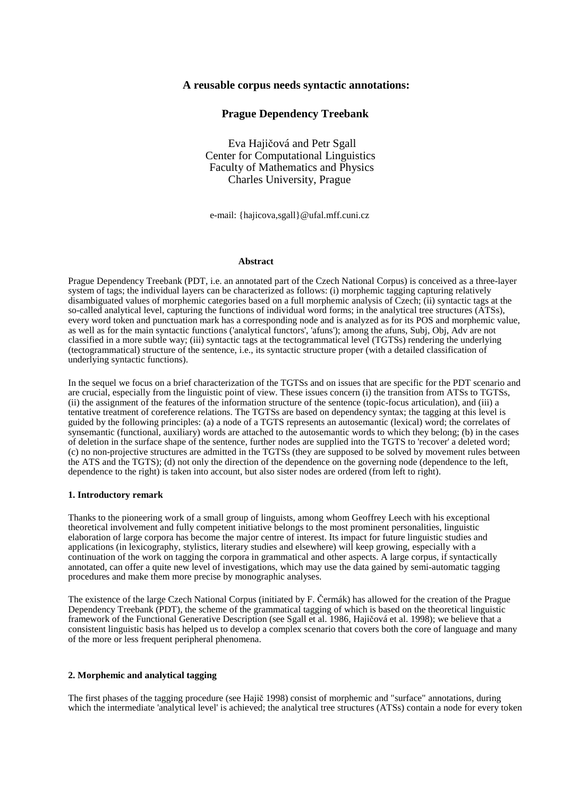# **A reusable corpus needs syntactic annotations:**

# **Prague Dependency Treebank**

 Eva Hajičová and Petr Sgall Center for Computational Linguistics Faculty of Mathematics and Physics Charles University, Prague

e-mail: {hajicova,sgall}@ufal.mff.cuni.cz

#### **Abstract**

Prague Dependency Treebank (PDT, i.e. an annotated part of the Czech National Corpus) is conceived as a three-layer system of tags; the individual layers can be characterized as follows: (i) morphemic tagging capturing relatively disambiguated values of morphemic categories based on a full morphemic analysis of Czech; (ii) syntactic tags at the so-called analytical level, capturing the functions of individual word forms; in the analytical tree structures (ATSs), every word token and punctuation mark has a corresponding node and is analyzed as for its POS and morphemic value, as well as for the main syntactic functions ('analytical functors', 'afuns'); among the afuns, Subj, Obj, Adv are not classified in a more subtle way; (iii) syntactic tags at the tectogrammatical level (TGTSs) rendering the underlying (tectogrammatical) structure of the sentence, i.e., its syntactic structure proper (with a detailed classification of underlying syntactic functions).

In the sequel we focus on a brief characterization of the TGTSs and on issues that are specific for the PDT scenario and are crucial, especially from the linguistic point of view. These issues concern (i) the transition from ATSs to TGTSs, (ii) the assignment of the features of the information structure of the sentence (topic-focus articulation), and (iii) a tentative treatment of coreference relations. The TGTSs are based on dependency syntax; the tagging at this level is guided by the following principles: (a) a node of a TGTS represents an autosemantic (lexical) word; the correlates of synsemantic (functional, auxiliary) words are attached to the autosemantic words to which they belong; (b) in the cases of deletion in the surface shape of the sentence, further nodes are supplied into the TGTS to 'recover' a deleted word; (c) no non-projective structures are admitted in the TGTSs (they are supposed to be solved by movement rules between the ATS and the TGTS); (d) not only the direction of the dependence on the governing node (dependence to the left, dependence to the right) is taken into account, but also sister nodes are ordered (from left to right).

# **1. Introductory remark**

Thanks to the pioneering work of a small group of linguists, among whom Geoffrey Leech with his exceptional theoretical involvement and fully competent initiative belongs to the most prominent personalities, linguistic elaboration of large corpora has become the major centre of interest. Its impact for future linguistic studies and applications (in lexicography, stylistics, literary studies and elsewhere) will keep growing, especially with a continuation of the work on tagging the corpora in grammatical and other aspects. A large corpus, if syntactically annotated, can offer a quite new level of investigations, which may use the data gained by semi-automatic tagging procedures and make them more precise by monographic analyses.

The existence of the large Czech National Corpus (initiated by F. Čermák) has allowed for the creation of the Prague Dependency Treebank (PDT), the scheme of the grammatical tagging of which is based on the theoretical linguistic framework of the Functional Generative Description (see Sgall et al. 1986, Hajičová et al. 1998); we believe that a consistent linguistic basis has helped us to develop a complex scenario that covers both the core of language and many of the more or less frequent peripheral phenomena.

## **2. Morphemic and analytical tagging**

The first phases of the tagging procedure (see Hajič 1998) consist of morphemic and "surface" annotations, during which the intermediate 'analytical level' is achieved; the analytical tree structures (ATSs) contain a node for every token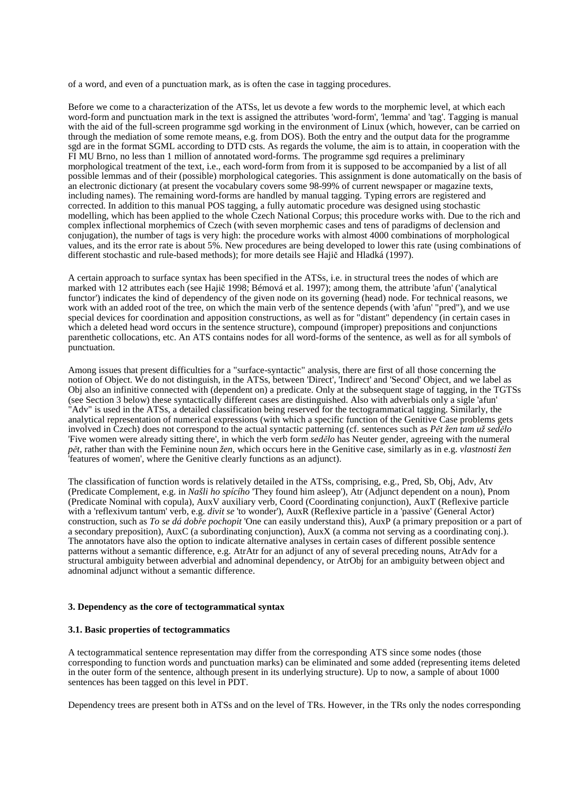of a word, and even of a punctuation mark, as is often the case in tagging procedures.

Before we come to a characterization of the ATSs, let us devote a few words to the morphemic level, at which each word-form and punctuation mark in the text is assigned the attributes 'word-form', 'lemma' and 'tag'. Tagging is manual with the aid of the full-screen programme sgd working in the environment of Linux (which, however, can be carried on through the mediation of some remote means, e.g. from DOS). Both the entry and the output data for the programme sgd are in the format SGML according to DTD csts. As regards the volume, the aim is to attain, in cooperation with the FI MU Brno, no less than 1 million of annotated word-forms. The programme sgd requires a preliminary morphological treatment of the text, i.e., each word-form from from it is supposed to be accompanied by a list of all possible lemmas and of their (possible) morphological categories. This assignment is done automatically on the basis of an electronic dictionary (at present the vocabulary covers some 98-99% of current newspaper or magazine texts, including names). The remaining word-forms are handled by manual tagging. Typing errors are registered and corrected. In addition to this manual POS tagging, a fully automatic procedure was designed using stochastic modelling, which has been applied to the whole Czech National Corpus; this procedure works with. Due to the rich and complex inflectional morphemics of Czech (with seven morphemic cases and tens of paradigms of declension and conjugation), the number of tags is very high: the procedure works with almost 4000 combinations of morphological values, and its the error rate is about 5%. New procedures are being developed to lower this rate (using combinations of different stochastic and rule-based methods); for more details see Hajič and Hladká (1997).

A certain approach to surface syntax has been specified in the ATSs, i.e. in structural trees the nodes of which are marked with 12 attributes each (see Hajič 1998; Bémová et al. 1997); among them, the attribute 'afun' ('analytical functor') indicates the kind of dependency of the given node on its governing (head) node. For technical reasons, we work with an added root of the tree, on which the main verb of the sentence depends (with 'afun' "pred"), and we use special devices for coordination and apposition constructions, as well as for "distant" dependency (in certain cases in which a deleted head word occurs in the sentence structure), compound (improper) prepositions and conjunctions parenthetic collocations, etc. An ATS contains nodes for all word-forms of the sentence, as well as for all symbols of punctuation.

Among issues that present difficulties for a "surface-syntactic" analysis, there are first of all those concerning the notion of Object. We do not distinguish, in the ATSs, between 'Direct', 'Indirect' and 'Second' Object, and we label as Obj also an infinitive connected with (dependent on) a predicate. Only at the subsequent stage of tagging, in the TGTSs (see Section 3 below) these syntactically different cases are distinguished. Also with adverbials only a sigle 'afun' "Adv" is used in the ATSs, a detailed classification being reserved for the tectogrammatical tagging. Similarly, the analytical representation of numerical expressions (with which a specific function of the Genitive Case problems gets involved in Czech) does not correspond to the actual syntactic patterning (cf. sentences such as *P*ě*t žen tam už sed*ě*lo*  'Five women were already sitting there', in which the verb form *sed*ě*lo* has Neuter gender, agreeing with the numeral *p*ě*t*, rather than with the Feminine noun *žen*, which occurs here in the Genitive case, similarly as in e.g. *vlastnosti žen*  'features of women', where the Genitive clearly functions as an adjunct).

The classification of function words is relatively detailed in the ATSs, comprising, e.g., Pred, Sb, Obj, Adv, Atv (Predicate Complement, e.g. in *Našli ho spícího* 'They found him asleep'), Atr (Adjunct dependent on a noun), Pnom (Predicate Nominal with copula), AuxV auxiliary verb, Coord (Coordinating conjunction), AuxT (Reflexive particle with a 'reflexivum tantum' verb, e.g. *divit se* 'to wonder'), AuxR (Reflexive particle in a 'passive' (General Actor) construction, such as *To se dá dob*ř*e pochopit* 'One can easily understand this), AuxP (a primary preposition or a part of a secondary preposition), AuxC (a subordinating conjunction), AuxX (a comma not serving as a coordinating conj.). The annotators have also the option to indicate alternative analyses in certain cases of different possible sentence patterns without a semantic difference, e.g. AtrAtr for an adjunct of any of several preceding nouns, AtrAdv for a structural ambiguity between adverbial and adnominal dependency, or AtrObj for an ambiguity between object and adnominal adjunct without a semantic difference.

## **3. Dependency as the core of tectogrammatical syntax**

#### **3.1. Basic properties of tectogrammatics**

A tectogrammatical sentence representation may differ from the corresponding ATS since some nodes (those corresponding to function words and punctuation marks) can be eliminated and some added (representing items deleted in the outer form of the sentence, although present in its underlying structure). Up to now, a sample of about 1000 sentences has been tagged on this level in PDT.

Dependency trees are present both in ATSs and on the level of TRs. However, in the TRs only the nodes corresponding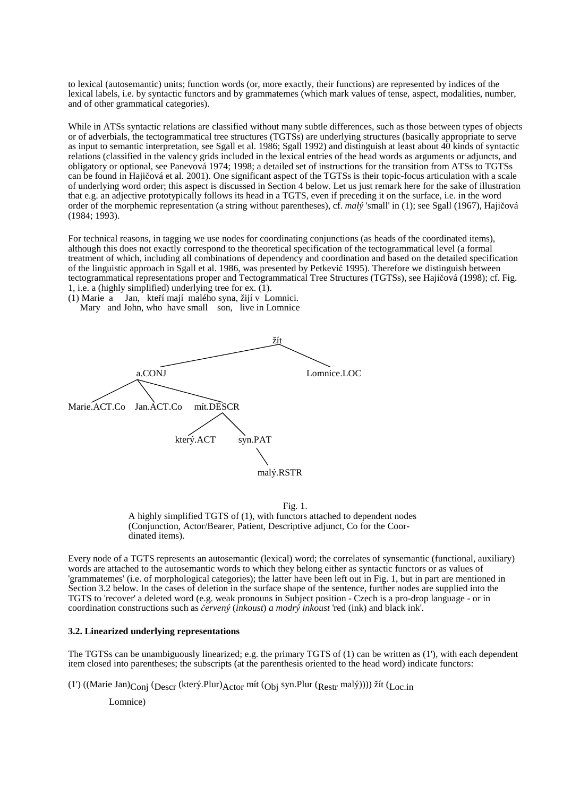to lexical (autosemantic) units; function words (or, more exactly, their functions) are represented by indices of the lexical labels, i.e. by syntactic functors and by grammatemes (which mark values of tense, aspect, modalities, number, and of other grammatical categories).

While in ATSs syntactic relations are classified without many subtle differences, such as those between types of objects or of adverbials, the tectogrammatical tree structures (TGTSs) are underlying structures (basically appropriate to serve as input to semantic interpretation, see Sgall et al. 1986; Sgall 1992) and distinguish at least about 40 kinds of syntactic relations (classified in the valency grids included in the lexical entries of the head words as arguments or adjuncts, and obligatory or optional, see Panevová 1974; 1998; a detailed set of instructions for the transition from ATSs to TGTSs can be found in Hajičová et al. 2001). One significant aspect of the TGTSs is their topic-focus articulation with a scale of underlying word order; this aspect is discussed in Section 4 below. Let us just remark here for the sake of illustration that e.g. an adjective prototypically follows its head in a TGTS, even if preceding it on the surface, i.e. in the word order of the morphemic representation (a string without parentheses), cf. *malý* 'small' in (1); see Sgall (1967), Hajičová (1984; 1993).

For technical reasons, in tagging we use nodes for coordinating conjunctions (as heads of the coordinated items), although this does not exactly correspond to the theoretical specification of the tectogrammatical level (a formal treatment of which, including all combinations of dependency and coordination and based on the detailed specification of the linguistic approach in Sgall et al. 1986, was presented by Petkevič 1995). Therefore we distinguish between tectogrammatical representations proper and Tectogrammatical Tree Structures (TGTSs), see Hajičová (1998); cf. Fig. 1, i.e. a (highly simplified) underlying tree for ex. (1).



(1) Marie a Jan, kteří mají malého syna, žijí v Lomnici. Mary and John, who have small son, live in Lomnice

> Fig. 1. A highly simplified TGTS of (1), with functors attached to dependent nodes (Conjunction, Actor/Bearer, Patient, Descriptive adjunct, Co for the Coordinated items).

Every node of a TGTS represents an autosemantic (lexical) word; the correlates of synsemantic (functional, auxiliary) words are attached to the autosemantic words to which they belong either as syntactic functors or as values of 'grammatemes' (i.e. of morphological categories); the latter have been left out in Fig. 1, but in part are mentioned in Section 3.2 below. In the cases of deletion in the surface shape of the sentence, further nodes are supplied into the TGTS to 'recover' a deleted word (e.g. weak pronouns in Subject position - Czech is a pro-drop language - or in coordination constructions such as č*ervený* (*inkoust*) *a modrý inkoust* 'red (ink) and black ink'.

## **3.2. Linearized underlying representations**

The TGTSs can be unambiguously linearized; e.g. the primary TGTS of (1) can be written as (1'), with each dependent item closed into parentheses; the subscripts (at the parenthesis oriented to the head word) indicate functors:

(1') ((Marie Jan)<sub>Conj</sub> (<sub>Descr</sub> (který.Plur)<sub>Actor</sub> mít (<sub>Obj</sub> syn.Plur (<sub>Restr</sub> malý)))) žít (<sub>Loc.in</sub>

Lomnice)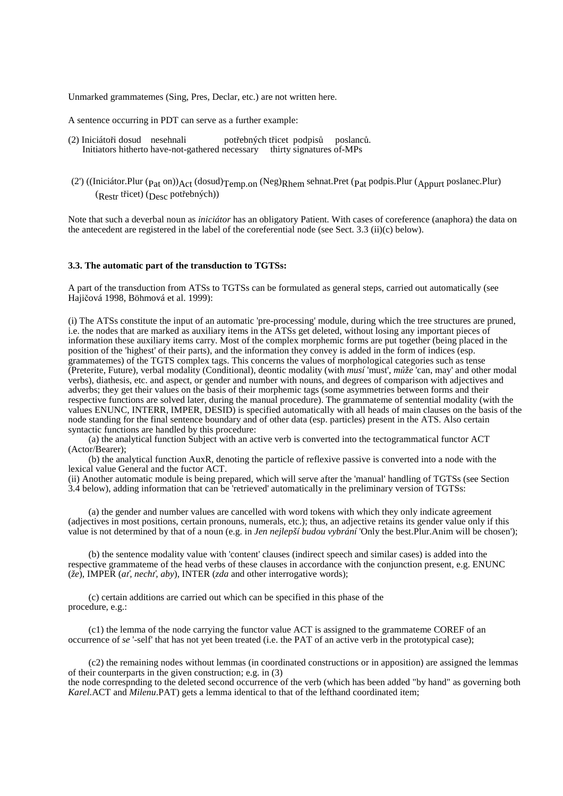Unmarked grammatemes (Sing, Pres, Declar, etc.) are not written here.

A sentence occurring in PDT can serve as a further example:

- (2) Iniciátoři dosud nesehnali potřebných třicet podpisů poslanců. Initiators hitherto have-not-gathered necessary thirty signatures of-MPs
- (2') ((Iniciátor.Plur ( $p_{at}$  on)) $Act$  (dosud) $Temp.$ on (Neg) $Rhem$  sehnat.Pret ( $p_{at}$  podpis.Plur ( $A$ <sub>ppurt</sub> poslanec.Plur) (Restr třicet) (Desc potřebných))

Note that such a deverbal noun as *iniciátor* has an obligatory Patient. With cases of coreference (anaphora) the data on the antecedent are registered in the label of the coreferential node (see Sect. 3.3 (ii)(c) below).

## **3.3. The automatic part of the transduction to TGTSs:**

A part of the transduction from ATSs to TGTSs can be formulated as general steps, carried out automatically (see Hajičová 1998, Böhmová et al. 1999):

(i) The ATSs constitute the input of an automatic 'pre-processing' module, during which the tree structures are pruned, i.e. the nodes that are marked as auxiliary items in the ATSs get deleted, without losing any important pieces of information these auxiliary items carry. Most of the complex morphemic forms are put together (being placed in the position of the 'highest' of their parts), and the information they convey is added in the form of indices (esp. grammatemes) of the TGTS complex tags. This concerns the values of morphological categories such as tense (Preterite, Future), verbal modality (Conditional), deontic modality (with *musí* 'must', *m*ů*že* 'can, may' and other modal verbs), diathesis, etc. and aspect, or gender and number with nouns, and degrees of comparison with adjectives and adverbs; they get their values on the basis of their morphemic tags (some asymmetries between forms and their respective functions are solved later, during the manual procedure). The grammateme of sentential modality (with the values ENUNC, INTERR, IMPER, DESID) is specified automatically with all heads of main clauses on the basis of the node standing for the final sentence boundary and of other data (esp. particles) present in the ATS. Also certain syntactic functions are handled by this procedure:

(a) the analytical function Subject with an active verb is converted into the tectogrammatical functor ACT (Actor/Bearer);

(b) the analytical function AuxR, denoting the particle of reflexive passive is converted into a node with the lexical value General and the fuctor ACT.

(ii) Another automatic module is being prepared, which will serve after the 'manual' handling of TGTSs (see Section 3.4 below), adding information that can be 'retrieved' automatically in the preliminary version of TGTSs:

(a) the gender and number values are cancelled with word tokens with which they only indicate agreement (adjectives in most positions, certain pronouns, numerals, etc.); thus, an adjective retains its gender value only if this value is not determined by that of a noun (e.g. in *Jen nejlepší budou vybrání* 'Only the best.Plur.Anim will be chosen');

(b) the sentence modality value with 'content' clauses (indirect speech and similar cases) is added into the respective grammateme of the head verbs of these clauses in accordance with the conjunction present, e.g. ENUNC (*že*), IMPER (*a*ť*, nech*ť*, aby*), INTER (*zda* and other interrogative words);

(c) certain additions are carried out which can be specified in this phase of the procedure, e.g.:

(c1) the lemma of the node carrying the functor value ACT is assigned to the grammateme COREF of an occurrence of *se* '-self' that has not yet been treated (i.e. the PAT of an active verb in the prototypical case);

(c2) the remaining nodes without lemmas (in coordinated constructions or in apposition) are assigned the lemmas of their counterparts in the given construction; e.g. in (3)

the node correspnding to the deleted second occurrence of the verb (which has been added "by hand" as governing both *Karel*.ACT and *Milenu*.PAT) gets a lemma identical to that of the lefthand coordinated item;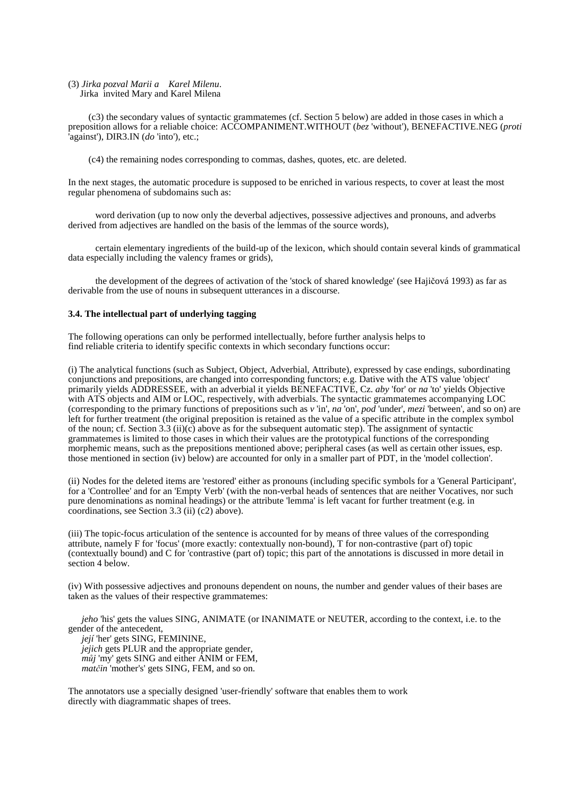## (3) *Jirka pozval Marii a Karel Milenu*.

Jirka invited Mary and Karel Milena

(c3) the secondary values of syntactic grammatemes (cf. Section 5 below) are added in those cases in which a preposition allows for a reliable choice: ACCOMPANIMENT.WITHOUT (*bez* 'without')*,* BENEFACTIVE.NEG (*proti*  'against'), DIR3.IN (*do* 'into')*,* etc.;

(c4) the remaining nodes corresponding to commas, dashes, quotes, etc. are deleted.

In the next stages, the automatic procedure is supposed to be enriched in various respects, to cover at least the most regular phenomena of subdomains such as:

word derivation (up to now only the deverbal adjectives, possessive adjectives and pronouns, and adverbs derived from adjectives are handled on the basis of the lemmas of the source words),

certain elementary ingredients of the build-up of the lexicon, which should contain several kinds of grammatical data especially including the valency frames or grids),

the development of the degrees of activation of the 'stock of shared knowledge' (see Hajičová 1993) as far as derivable from the use of nouns in subsequent utterances in a discourse.

## **3.4. The intellectual part of underlying tagging**

The following operations can only be performed intellectually, before further analysis helps to find reliable criteria to identify specific contexts in which secondary functions occur:

(i) The analytical functions (such as Subject, Object, Adverbial, Attribute), expressed by case endings, subordinating conjunctions and prepositions, are changed into corresponding functors; e.g. Dative with the ATS value 'object' primarily yields ADDRESSEE, with an adverbial it yields BENEFACTIVE, Cz. *aby* 'for' or *na* 'to' yields Objective with ATS objects and AIM or LOC, respectively, with adverbials. The syntactic grammatemes accompanying LOC (corresponding to the primary functions of prepositions such as *v* 'in', *na* 'on', *pod* 'under', *mezi* 'between', and so on) are left for further treatment (the original preposition is retained as the value of a specific attribute in the complex symbol of the noun; cf. Section 3.3 (ii)(c) above as for the subsequent automatic step). The assignment of syntactic grammatemes is limited to those cases in which their values are the prototypical functions of the corresponding morphemic means, such as the prepositions mentioned above; peripheral cases (as well as certain other issues, esp. those mentioned in section (iv) below) are accounted for only in a smaller part of PDT, in the 'model collection'.

(ii) Nodes for the deleted items are 'restored' either as pronouns (including specific symbols for a 'General Participant', for a 'Controllee' and for an 'Empty Verb' (with the non-verbal heads of sentences that are neither Vocatives, nor such pure denominations as nominal headings) or the attribute 'lemma' is left vacant for further treatment (e.g. in coordinations, see Section 3.3 (ii) (c2) above).

(iii) The topic-focus articulation of the sentence is accounted for by means of three values of the corresponding attribute, namely F for 'focus' (more exactly: contextually non-bound), T for non-contrastive (part of) topic (contextually bound) and C for 'contrastive (part of) topic; this part of the annotations is discussed in more detail in section 4 below.

(iv) With possessive adjectives and pronouns dependent on nouns, the number and gender values of their bases are taken as the values of their respective grammatemes:

*jeho* 'his' gets the values SING, ANIMATE (or INANIMATE or NEUTER*,* according to the context, i.e. to the gender of the antecedent,

*její* 'her' gets SING, FEMININE*, jejich* gets PLUR and the appropriate gender, *m*ů*j* 'my' gets SING and either ANIM or FEM, *mat*č*in* 'mother's' gets SING, FEM, and so on.

The annotators use a specially designed 'user-friendly' software that enables them to work directly with diagrammatic shapes of trees.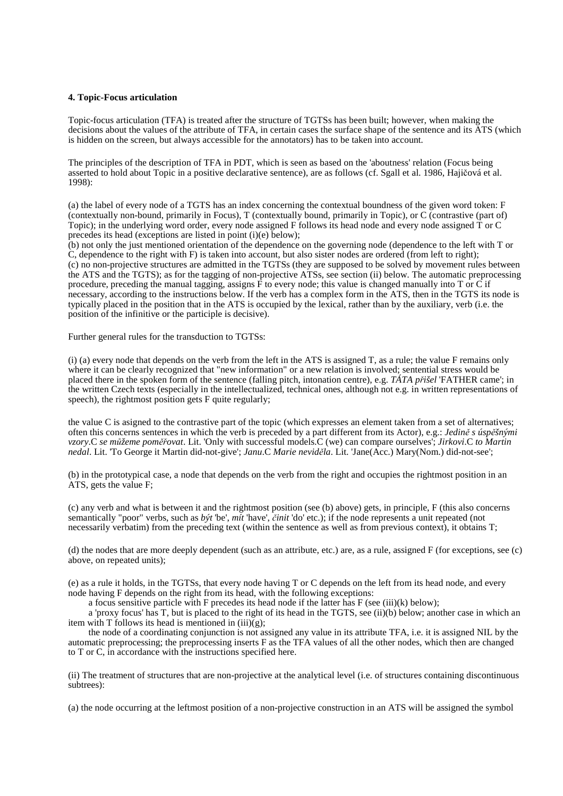#### **4. Topic-Focus articulation**

Topic-focus articulation (TFA) is treated after the structure of TGTSs has been built; however, when making the decisions about the values of the attribute of TFA, in certain cases the surface shape of the sentence and its ATS (which is hidden on the screen, but always accessible for the annotators) has to be taken into account.

The principles of the description of TFA in PDT, which is seen as based on the 'aboutness' relation (Focus being asserted to hold about Topic in a positive declarative sentence), are as follows (cf. Sgall et al. 1986, Hajičová et al. 1998):

(a) the label of every node of a TGTS has an index concerning the contextual boundness of the given word token: F (contextually non-bound, primarily in Focus), T (contextually bound, primarily in Topic), or C (contrastive (part of) Topic); in the underlying word order, every node assigned F follows its head node and every node assigned T or C precedes its head (exceptions are listed in point (i)(e) below);

(b) not only the just mentioned orientation of the dependence on the governing node (dependence to the left with T or C, dependence to the right with F) is taken into account, but also sister nodes are ordered (from left to right); (c) no non-projective structures are admitted in the TGTSs (they are supposed to be solved by movement rules between the ATS and the TGTS); as for the tagging of non-projective ATSs, see section (ii) below. The automatic preprocessing procedure, preceding the manual tagging, assigns  $\vec{F}$  to every node; this value is changed manually into T or C if necessary, according to the instructions below. If the verb has a complex form in the ATS, then in the TGTS its node is typically placed in the position that in the ATS is occupied by the lexical, rather than by the auxiliary, verb (i.e. the position of the infinitive or the participle is decisive).

Further general rules for the transduction to TGTSs:

(i) (a) every node that depends on the verb from the left in the ATS is assigned T, as a rule; the value F remains only where it can be clearly recognized that "new information" or a new relation is involved; sentential stress would be placed there in the spoken form of the sentence (falling pitch, intonation centre), e.g. *TÁTA p*ř*išel* 'FATHER came'; in the written Czech texts (especially in the intellectualized, technical ones, although not e.g. in written representations of speech), the rightmost position gets F quite regularly;

the value C is asigned to the contrastive part of the topic (which expresses an element taken from a set of alternatives; often this concerns sentences in which the verb is preceded by a part different from its Actor), e.g.: *Jedin*ě *s úsp*ě*šnými vzory*.C *se m*ů*žeme pom*ěř*ovat*. Lit. 'Only with successful models.C (we) can compare ourselves'; *Jirkovi*.C *to Martin nedal*. Lit. 'To George it Martin did-not-give'; *Janu*.C *Marie nevid*ě*la*. Lit. 'Jane(Acc.) Mary(Nom.) did-not-see';

(b) in the prototypical case, a node that depends on the verb from the right and occupies the rightmost position in an ATS, gets the value F;

(c) any verb and what is between it and the rightmost position (see (b) above) gets, in principle, F (this also concerns semantically "poor" verbs, such as *být* 'be', *mít* 'have', č*init* 'do' etc.); if the node represents a unit repeated (not necessarily verbatim) from the preceding text (within the sentence as well as from previous context), it obtains T;

(d) the nodes that are more deeply dependent (such as an attribute, etc.) are, as a rule, assigned F (for exceptions, see (c) above, on repeated units);

(e) as a rule it holds, in the TGTSs, that every node having T or C depends on the left from its head node, and every node having F depends on the right from its head, with the following exceptions:

a focus sensitive particle with F precedes its head node if the latter has  $F$  (see (iii)(k) below);

a 'proxy focus' has T, but is placed to the right of its head in the TGTS, see (ii)(b) below; another case in which an item with T follows its head is mentioned in  $(iii)(g)$ ;

the node of a coordinating conjunction is not assigned any value in its attribute TFA, i.e. it is assigned NIL by the automatic preprocessing; the preprocessing inserts F as the TFA values of all the other nodes, which then are changed to T or C, in accordance with the instructions specified here.

(ii) The treatment of structures that are non-projective at the analytical level (i.e. of structures containing discontinuous subtrees):

(a) the node occurring at the leftmost position of a non-projective construction in an ATS will be assigned the symbol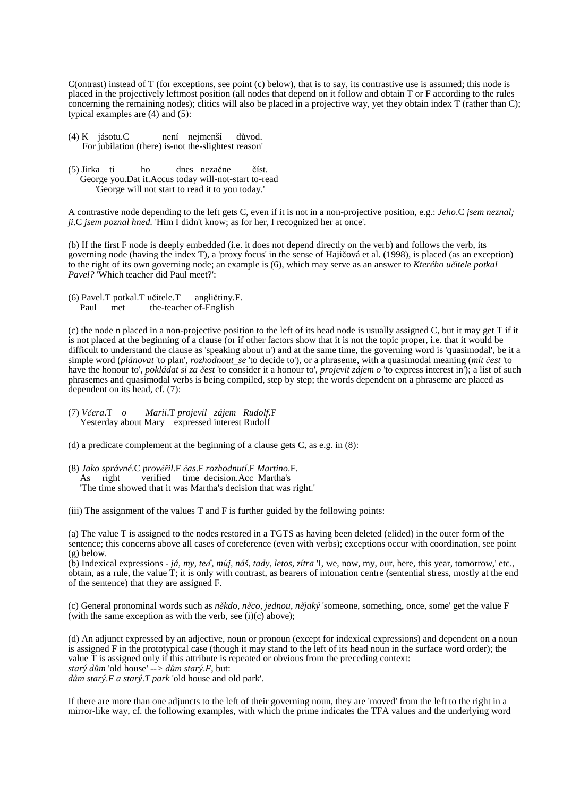C(ontrast) instead of T (for exceptions, see point (c) below), that is to say, its contrastive use is assumed; this node is placed in the projectively leftmost position (all nodes that depend on it follow and obtain T or F according to the rules concerning the remaining nodes); clitics will also be placed in a projective way, yet they obtain index T (rather than C); typical examples are (4) and (5):

- (4) K jásotu.C není nejmenší důvod. For jubilation (there) is-not the-slightest reason'
- (5) Jirka ti ho dnes nezačne číst. George you.Dat it.Accus today will-not-start to-read 'George will not start to read it to you today.'

A contrastive node depending to the left gets C, even if it is not in a non-projective position, e.g.: *Jeho*.C *jsem neznal; ji*.C *jsem poznal hned.* 'Him I didn't know; as for her, I recognized her at once'.

(b) If the first F node is deeply embedded (i.e. it does not depend directly on the verb) and follows the verb, its governing node (having the index T), a 'proxy focus' in the sense of Hajičová et al. (1998), is placed (as an exception) to the right of its own governing node; an example is (6), which may serve as an answer to *Kterého u*č*itele potkal Pavel?* 'Which teacher did Paul meet?':

(6) Pavel.T potkal.T učitele.T angličtiny.F.<br>Paul met the-teacher of-English the-teacher of-English

(c) the node n placed in a non-projective position to the left of its head node is usually assigned C, but it may get T if it is not placed at the beginning of a clause (or if other factors show that it is not the topic proper, i.e. that it would be difficult to understand the clause as 'speaking about n') and at the same time, the governing word is 'quasimodal', be it a simple word (*plánovat* 'to plan', *rozhodnout\_se* 'to decide to'), or a phraseme, with a quasimodal meaning (*mít* č*est* 'to have the honour to', *pokládat si za* č*est* 'to consider it a honour to', *projevit zájem o* 'to express interest in'); a list of such phrasemes and quasimodal verbs is being compiled, step by step; the words dependent on a phraseme are placed as dependent on its head, cf. (7):

(7) *V*č*era*.T *o Marii*.T *projevil zájem Rudolf*.F Yesterday about Mary expressed interest Rudolf

(d) a predicate complement at the beginning of a clause gets C, as e.g. in  $(8)$ :

(8) *Jako správné*.C *prov*ěř*il*.F č*as*.F *rozhodnutí*.F *Martino*.F. verified time decision.Acc Martha's 'The time showed that it was Martha's decision that was right.'

(iii) The assignment of the values T and F is further guided by the following points:

(a) The value T is assigned to the nodes restored in a TGTS as having been deleted (elided) in the outer form of the sentence; this concerns above all cases of coreference (even with verbs); exceptions occur with coordination, see point (g) below.

(b) Indexical expressions - *já, my, te*ď*, m*ů*j, náš, tady, letos, zítra* 'I, we, now, my, our, here, this year, tomorrow,' etc., obtain, as a rule, the value T; it is only with contrast, as bearers of intonation centre (sentential stress, mostly at the end of the sentence) that they are assigned F.

(c) General pronominal words such as *n*ě*kdo, n*ě*co, jednou, n*ě*jaký* 'someone, something, once, some' get the value F (with the same exception as with the verb, see  $(i)(c)$  above);

(d) An adjunct expressed by an adjective, noun or pronoun (except for indexical expressions) and dependent on a noun is assigned F in the prototypical case (though it may stand to the left of its head noun in the surface word order); the value T is assigned only if this attribute is repeated or obvious from the preceding context: *starý d*ů*m* 'old house' *--> d*ů*m starý*.*F*, but: *d*ů*m starý*.*F a starý*.*T park* 'old house and old park'.

If there are more than one adjuncts to the left of their governing noun, they are 'moved' from the left to the right in a mirror-like way, cf. the following examples, with which the prime indicates the TFA values and the underlying word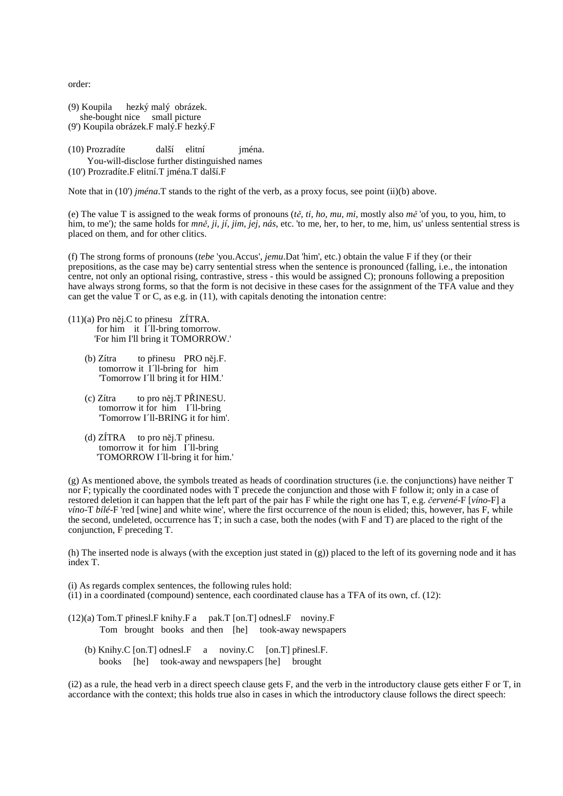order:

| (9) Koupila hezký malý obrázek.       |  |  |
|---------------------------------------|--|--|
| she-bought nice small picture         |  |  |
| (9') Koupila obrázek.F malý.F hezký.F |  |  |

(10) Prozradíte další elitní jména. You-will-disclose further distinguished names (10') Prozradíte.F elitní.T jména.T další.F

Note that in (10') *jména*.T stands to the right of the verb, as a proxy focus, see point (ii)(b) above.

(e) The value T is assigned to the weak forms of pronouns (*t*ě*, ti, ho, mu, mi,* mostly also *m*ě 'of you, to you, him, to him, to me')*;* the same holds for *mn*ě*, ji, jí, jim, jej, nás*, etc. 'to me, her, to her, to me, him, us' unless sentential stress is placed on them, and for other clitics.

(f) The strong forms of pronouns (*tebe* 'you.Accus'*, jemu*.Dat 'him'*,* etc.) obtain the value F if they (or their prepositions, as the case may be) carry sentential stress when the sentence is pronounced (falling, i.e., the intonation centre, not only an optional rising, contrastive, stress - this would be assigned  $C$ ); pronouns following a preposition have always strong forms, so that the form is not decisive in these cases for the assignment of the TFA value and they can get the value  $\overline{T}$  or C, as e.g. in (11), with capitals denoting the intonation centre:

- (11)(a) Pro něj.C to přinesu ZÍTRA. for him it  $\overline{1}$  1l-bring tomorrow. 'For him I'll bring it TOMORROW.'
	- (b) Zítra to přinesu PRO něj.F. tomorrow it I´ll-bring for him 'Tomorrow I´ll bring it for HIM.'
	- (c) Zítra to pro něj.T PŘINESU. tomorrow it for him I´ll-bring 'Tomorrow I´ll-BRING it for him'.
	- (d) ZÍTRA to pro něj.T přinesu. tomorrow it for him I´ll-bring 'TOMORROW I´ll-bring it for him.'

(g) As mentioned above, the symbols treated as heads of coordination structures (i.e. the conjunctions) have neither T nor F; typically the coordinated nodes with T precede the conjunction and those with F follow it; only in a case of restored deletion it can happen that the left part of the pair has F while the right one has T, e.g. č*ervené*-F [*víno*-F] a *víno*-T *bílé*-F 'red [wine] and white wine', where the first occurrence of the noun is elided; this, however, has F, while the second, undeleted, occurrence has T; in such a case, both the nodes (with F and T) are placed to the right of the conjunction, F preceding T.

(h) The inserted node is always (with the exception just stated in (g)) placed to the left of its governing node and it has index T.

- (i) As regards complex sentences, the following rules hold:
- $(i1)$  in a coordinated (compound) sentence, each coordinated clause has a TFA of its own, cf.  $(12)$ :
- $(12)(a)$  Tom.T přinesl.F knihy.F a pak.T [on.T] odnesl.F noviny.F Tom brought books and then [he] took-away newspapers
	- (b) Knihy.C [on.T] odnesl.F  $\alpha$  noviny.C [on.T] přinesl.F. books [he] took-away and newspapers [he] brought

 $(i2)$  as a rule, the head verb in a direct speech clause gets F, and the verb in the introductory clause gets either F or T, in accordance with the context; this holds true also in cases in which the introductory clause follows the direct speech: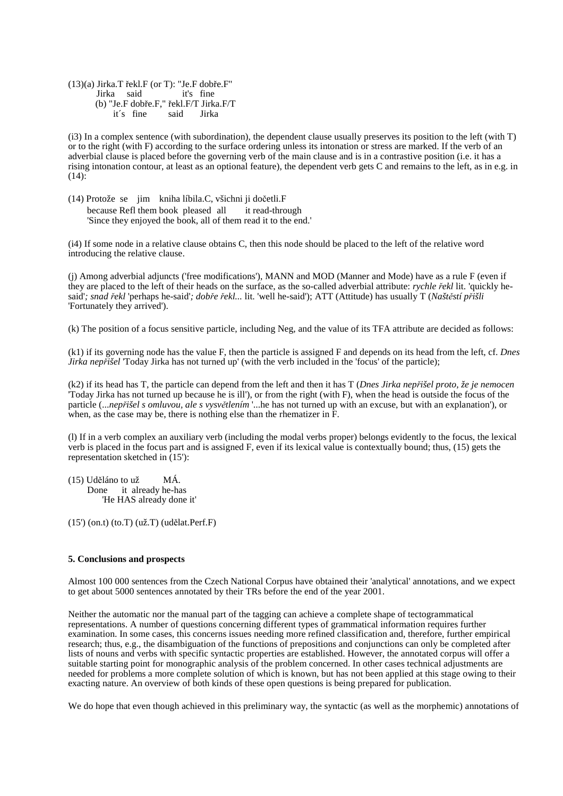$(13)(a)$  Jirka.T řekl.F (or T): "Je.F dobře.F"<br>Jirka said it's fine Jirka said (b) "Je.F dobře.F," řekl.F/T Jirka.F/T it´s fine said Jirka

(i3) In a complex sentence (with subordination), the dependent clause usually preserves its position to the left (with T) or to the right (with F) according to the surface ordering unless its intonation or stress are marked. If the verb of an adverbial clause is placed before the governing verb of the main clause and is in a contrastive position (i.e. it has a rising intonation contour, at least as an optional feature), the dependent verb gets C and remains to the left, as in e.g. in  $(14)$ :

(14) Protože se jim kniha líbila.C, všichni ji dočetli.F because Refl them book pleased all it read-through 'Since they enjoyed the book, all of them read it to the end.'

(i4) If some node in a relative clause obtains C, then this node should be placed to the left of the relative word introducing the relative clause.

(j) Among adverbial adjuncts ('free modifications'), MANN and MOD (Manner and Mode) have as a rule F (even if they are placed to the left of their heads on the surface, as the so-called adverbial attribute: *rychle* ř*ekl* lit. 'quickly hesaid'*; snad* ř*ekl* 'perhaps he-said'*; dob*ř*e* ř*ekl...* lit. 'well he-said'); ATT (Attitude) has usually T (*Našt*ě*stí p*ř*išli*  'Fortunately they arrived').

(k) The position of a focus sensitive particle, including Neg, and the value of its TFA attribute are decided as follows:

(k1) if its governing node has the value F, then the particle is assigned F and depends on its head from the left, cf. *Dnes Jirka nep*ř*išel* 'Today Jirka has not turned up' (with the verb included in the 'focus' of the particle);

(k2) if its head has T, the particle can depend from the left and then it has T (*Dnes Jirka nep*ř*išel proto, že je nemocen*  'Today Jirka has not turned up because he is ill'), or from the right (with F), when the head is outside the focus of the particle (...*nep*ř*išel s omluvou, ale s vysv*ě*tlením* '...he has not turned up with an excuse, but with an explanation'), or when, as the case may be, there is nothing else than the rhematizer in F.

(l) If in a verb complex an auxiliary verb (including the modal verbs proper) belongs evidently to the focus, the lexical verb is placed in the focus part and is assigned F, even if its lexical value is contextually bound; thus, (15) gets the representation sketched in (15'):

(15) Uděláno to už MÁ. Done it already he-has 'He HAS already done it'

(15') (on.t) (to.T) (už.T) (udělat.Perf.F)

## **5. Conclusions and prospects**

Almost 100 000 sentences from the Czech National Corpus have obtained their 'analytical' annotations, and we expect to get about 5000 sentences annotated by their TRs before the end of the year 2001.

Neither the automatic nor the manual part of the tagging can achieve a complete shape of tectogrammatical representations. A number of questions concerning different types of grammatical information requires further examination. In some cases, this concerns issues needing more refined classification and, therefore, further empirical research; thus, e.g., the disambiguation of the functions of prepositions and conjunctions can only be completed after lists of nouns and verbs with specific syntactic properties are established. However, the annotated corpus will offer a suitable starting point for monographic analysis of the problem concerned. In other cases technical adjustments are needed for problems a more complete solution of which is known, but has not been applied at this stage owing to their exacting nature. An overview of both kinds of these open questions is being prepared for publication.

We do hope that even though achieved in this preliminary way, the syntactic (as well as the morphemic) annotations of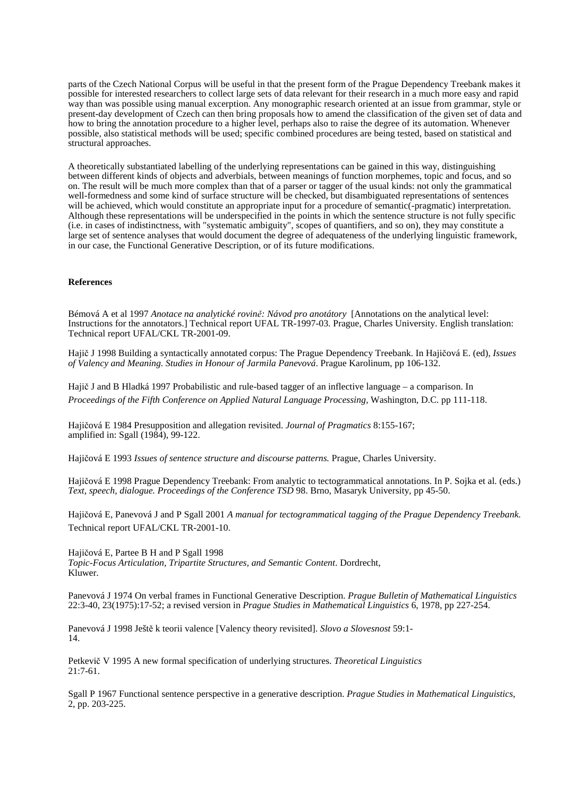parts of the Czech National Corpus will be useful in that the present form of the Prague Dependency Treebank makes it possible for interested researchers to collect large sets of data relevant for their research in a much more easy and rapid way than was possible using manual excerption. Any monographic research oriented at an issue from grammar, style or present-day development of Czech can then bring proposals how to amend the classification of the given set of data and how to bring the annotation procedure to a higher level, perhaps also to raise the degree of its automation. Whenever possible, also statistical methods will be used; specific combined procedures are being tested, based on statistical and structural approaches.

A theoretically substantiated labelling of the underlying representations can be gained in this way, distinguishing between different kinds of objects and adverbials, between meanings of function morphemes, topic and focus, and so on. The result will be much more complex than that of a parser or tagger of the usual kinds: not only the grammatical well-formedness and some kind of surface structure will be checked, but disambiguated representations of sentences will be achieved, which would constitute an appropriate input for a procedure of semantic(-pragmatic) interpretation. Although these representations will be underspecified in the points in which the sentence structure is not fully specific (i.e. in cases of indistinctness, with "systematic ambiguity", scopes of quantifiers, and so on), they may constitute a large set of sentence analyses that would document the degree of adequateness of the underlying linguistic framework, in our case, the Functional Generative Description, or of its future modifications.

## **References**

Bémová A et al 1997 *Anotace na analytické rovin*ě*: Návod pro anotátory* [Annotations on the analytical level: Instructions for the annotators.] Technical report UFAL TR-1997-03. Prague, Charles University. English translation: Technical report UFAL/CKL TR-2001-09.

Hajič J 1998 Building a syntactically annotated corpus: The Prague Dependency Treebank. In Hajičová E. (ed), *Issues of Valency and Meaning. Studies in Honour of Jarmila Panevová*. Prague Karolinum, pp 106-132.

Hajič J and B Hladká 1997 Probabilistic and rule-based tagger of an inflective language – a comparison. In *Proceedings of the Fifth Conference on Applied Natural Language Processing,* Washington, D.C. pp 111-118.

Hajičová E 1984 Presupposition and allegation revisited. *Journal of Pragmatics* 8:155-167; amplified in: Sgall (1984), 99-122.

Hajičová E 1993 *Issues of sentence structure and discourse patterns.* Prague, Charles University.

Hajičová E 1998 Prague Dependency Treebank: From analytic to tectogrammatical annotations. In P. Sojka et al. (eds.) *Text, speech, dialogue. Proceedings of the Conference TSD* 98. Brno, Masaryk University, pp 45-50.

Hajičová E, Panevová J and P Sgall 2001 *A manual for tectogrammatical tagging of the Prague Dependency Treebank.* Technical report UFAL/CKL TR-2001-10.

Hajičová E, Partee B H and P Sgall 1998

*Topic-Focus Articulation, Tripartite Structures, and Semantic Content*. Dordrecht, Kluwer.

Panevová J 1974 On verbal frames in Functional Generative Description. *Prague Bulletin of Mathematical Linguistics*  22:3-40, 23(1975):17-52; a revised version in *Prague Studies in Mathematical Linguistics* 6, 1978, pp 227-254.

Panevová J 1998 Ještě k teorii valence [Valency theory revisited]. *Slovo a Slovesnost* 59:1- 14.

Petkevič V 1995 A new formal specification of underlying structures. *Theoretical Linguistics*  21:7-61.

Sgall P 1967 Functional sentence perspective in a generative description. *Prague Studies in Mathematical Linguistics*, 2, pp. 203-225.